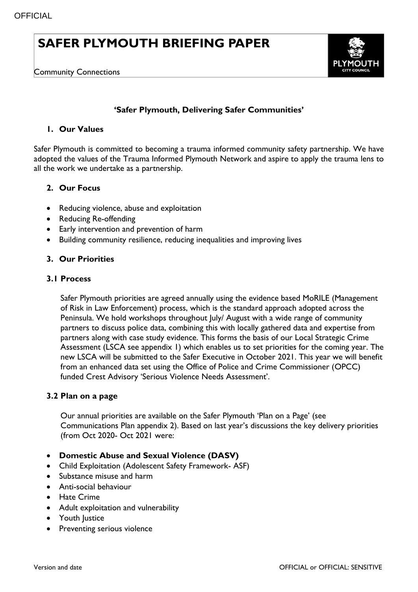# **SAFER PLYMOUTH BRIEFING PAPER**



## **'Safer Plymouth, Delivering Safer Communities'**

#### **1. Our Values**

Safer Plymouth is committed to becoming a trauma informed community safety partnership. We have adopted the values of the Trauma Informed Plymouth Network and aspire to apply the trauma lens to all the work we undertake as a partnership.

#### **2. Our Focus**

- Reducing violence, abuse and exploitation
- Reducing Re-offending
- Early intervention and prevention of harm
- Building community resilience, reducing inequalities and improving lives

#### **3. Our Priorities**

#### **3.1 Process**

Safer Plymouth priorities are agreed annually using the evidence based MoRILE (Management of Risk in Law Enforcement) process, which is the standard approach adopted across the Peninsula. We hold workshops throughout July/ August with a wide range of community partners to discuss police data, combining this with locally gathered data and expertise from partners along with case study evidence. This forms the basis of our Local Strategic Crime Assessment (LSCA see appendix 1) which enables us to set priorities for the coming year. The new LSCA will be submitted to the Safer Executive in October 2021. This year we will benefit from an enhanced data set using the Office of Police and Crime Commissioner (OPCC) funded Crest Advisory 'Serious Violence Needs Assessment'.

#### **3.2 Plan on a page**

Our annual priorities are available on the Safer Plymouth 'Plan on a Page' (see Communications Plan appendix 2). Based on last year's discussions the key delivery priorities (from Oct 2020- Oct 2021 were:

- **Domestic Abuse and Sexual Violence (DASV)**
- Child Exploitation (Adolescent Safety Framework- ASF)
- Substance misuse and harm
- Anti-social behaviour
- **•** Hate Crime
- Adult exploitation and vulnerability
- Youth Justice
- Preventing serious violence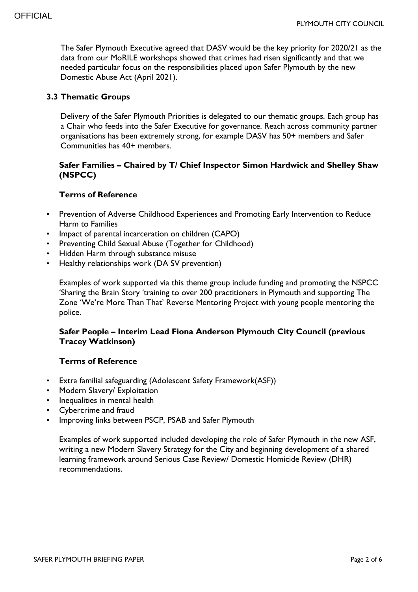The Safer Plymouth Executive agreed that DASV would be the key priority for 2020/21 as the data from our MoRILE workshops showed that crimes had risen significantly and that we needed particular focus on the responsibilities placed upon Safer Plymouth by the new Domestic Abuse Act (April 2021).

#### **3.3 Thematic Groups**

Delivery of the Safer Plymouth Priorities is delegated to our thematic groups. Each group has a Chair who feeds into the Safer Executive for governance. Reach across community partner organisations has been extremely strong, for example DASV has 50+ members and Safer Communities has 40+ members.

#### **Safer Families – Chaired by T/ Chief Inspector Simon Hardwick and Shelley Shaw (NSPCC)**

#### **Terms of Reference**

- Prevention of Adverse Childhood Experiences and Promoting Early Intervention to Reduce Harm to Families
- Impact of parental incarceration on children (CAPO)
- Preventing Child Sexual Abuse (Together for Childhood)
- Hidden Harm through substance misuse
- Healthy relationships work (DA SV prevention)

Examples of work supported via this theme group include funding and promoting the NSPCC 'Sharing the Brain Story 'training to over 200 practitioners in Plymouth and supporting The Zone 'We're More Than That' Reverse Mentoring Project with young people mentoring the police.

#### **Safer People – Interim Lead Fiona Anderson Plymouth City Council (previous Tracey Watkinson)**

#### **Terms of Reference**

- Extra familial safeguarding (Adolescent Safety Framework(ASF))
- Modern Slavery/ Exploitation
- Inequalities in mental health
- Cybercrime and fraud
- Improving links between PSCP, PSAB and Safer Plymouth

Examples of work supported included developing the role of Safer Plymouth in the new ASF, writing a new Modern Slavery Strategy for the City and beginning development of a shared learning framework around Serious Case Review/ Domestic Homicide Review (DHR) recommendations.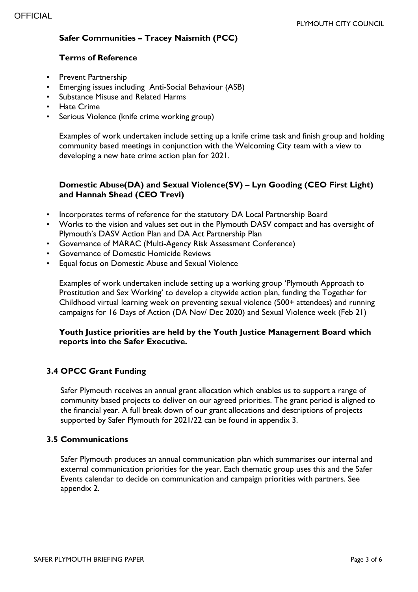## **Safer Communities – Tracey Naismith (PCC)**

#### **Terms of Reference**

- Prevent Partnership
- Emerging issues including Anti-Social Behaviour (ASB)
- Substance Misuse and Related Harms
- **Hate Crime**
- Serious Violence (knife crime working group)

Examples of work undertaken include setting up a knife crime task and finish group and holding community based meetings in conjunction with the Welcoming City team with a view to developing a new hate crime action plan for 2021.

## **Domestic Abuse(DA) and Sexual Violence(SV) – Lyn Gooding (CEO First Light) and Hannah Shead (CEO Trevi)**

- Incorporates terms of reference for the statutory DA Local Partnership Board
- Works to the vision and values set out in the Plymouth DASV compact and has oversight of Plymouth's DASV Action Plan and DA Act Partnership Plan
- Governance of MARAC (Multi-Agency Risk Assessment Conference)
- Governance of Domestic Homicide Reviews
- Equal focus on Domestic Abuse and Sexual Violence

Examples of work undertaken include setting up a working group 'Plymouth Approach to Prostitution and Sex Working' to develop a citywide action plan, funding the Together for Childhood virtual learning week on preventing sexual violence (500+ attendees) and running campaigns for 16 Days of Action (DA Nov/ Dec 2020) and Sexual Violence week (Feb 21)

#### **Youth Justice priorities are held by the Youth Justice Management Board which reports into the Safer Executive.**

## **3.4 OPCC Grant Funding**

Safer Plymouth receives an annual grant allocation which enables us to support a range of community based projects to deliver on our agreed priorities. The grant period is aligned to the financial year. A full break down of our grant allocations and descriptions of projects supported by Safer Plymouth for 2021/22 can be found in appendix 3.

#### **3.5 Communications**

Safer Plymouth produces an annual communication plan which summarises our internal and external communication priorities for the year. Each thematic group uses this and the Safer Events calendar to decide on communication and campaign priorities with partners. See appendix 2.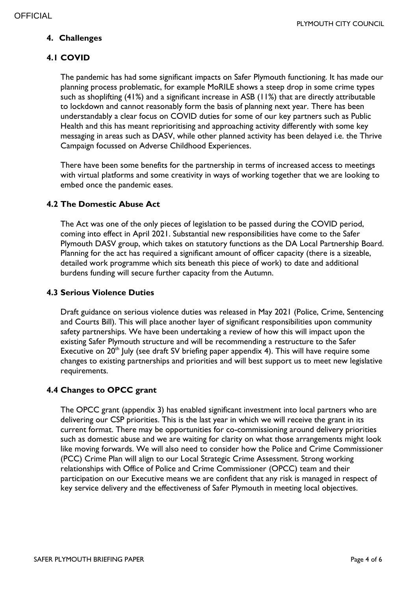## **4. Challenges**

## **4.1 COVID**

The pandemic has had some significant impacts on Safer Plymouth functioning. It has made our planning process problematic, for example MoRILE shows a steep drop in some crime types such as shoplifting (41%) and a significant increase in ASB (11%) that are directly attributable to lockdown and cannot reasonably form the basis of planning next year. There has been understandably a clear focus on COVID duties for some of our key partners such as Public Health and this has meant reprioritising and approaching activity differently with some key messaging in areas such as DASV, while other planned activity has been delayed i.e. the Thrive Campaign focussed on Adverse Childhood Experiences.

There have been some benefits for the partnership in terms of increased access to meetings with virtual platforms and some creativity in ways of working together that we are looking to embed once the pandemic eases.

## **4.2 The Domestic Abuse Act**

The Act was one of the only pieces of legislation to be passed during the COVID period, coming into effect in April 2021. Substantial new responsibilities have come to the Safer Plymouth DASV group, which takes on statutory functions as the DA Local Partnership Board. Planning for the act has required a significant amount of officer capacity (there is a sizeable, detailed work programme which sits beneath this piece of work) to date and additional burdens funding will secure further capacity from the Autumn.

#### **4.3 Serious Violence Duties**

Draft guidance on serious violence duties was released in May 2021 (Police, Crime, Sentencing and Courts Bill). This will place another layer of significant responsibilities upon community safety partnerships. We have been undertaking a review of how this will impact upon the existing Safer Plymouth structure and will be recommending a restructure to the Safer Executive on  $20<sup>th</sup>$  July (see draft SV briefing paper appendix 4). This will have require some changes to existing partnerships and priorities and will best support us to meet new legislative requirements.

#### **4.4 Changes to OPCC grant**

The OPCC grant (appendix 3) has enabled significant investment into local partners who are delivering our CSP priorities. This is the last year in which we will receive the grant in its current format. There may be opportunities for co-commissioning around delivery priorities such as domestic abuse and we are waiting for clarity on what those arrangements might look like moving forwards. We will also need to consider how the Police and Crime Commissioner (PCC) Crime Plan will align to our Local Strategic Crime Assessment. Strong working relationships with Office of Police and Crime Commissioner (OPCC) team and their participation on our Executive means we are confident that any risk is managed in respect of key service delivery and the effectiveness of Safer Plymouth in meeting local objectives.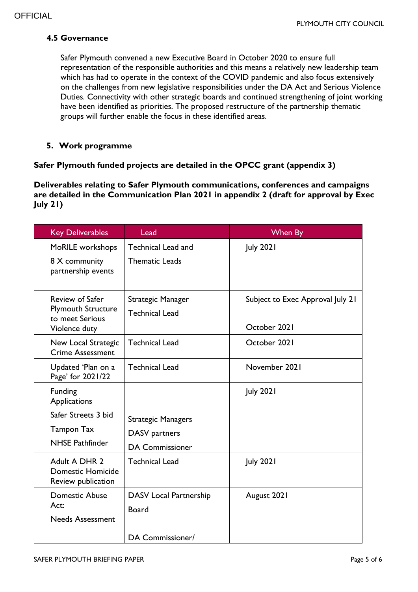## **4.5 Governance**

Safer Plymouth convened a new Executive Board in October 2020 to ensure full representation of the responsible authorities and this means a relatively new leadership team which has had to operate in the context of the COVID pandemic and also focus extensively on the challenges from new legislative responsibilities under the DA Act and Serious Violence Duties. Connectivity with other strategic boards and continued strengthening of joint working have been identified as priorities. The proposed restructure of the partnership thematic groups will further enable the focus in these identified areas.

## **5. Work programme**

## **Safer Plymouth funded projects are detailed in the OPCC grant (appendix 3)**

**Deliverables relating to Safer Plymouth communications, conferences and campaigns are detailed in the Communication Plan 2021 in appendix 2 (draft for approval by Exec July 21)** 

| <b>Key Deliverables</b>                                                          | Lead                                                                 | When By                                          |
|----------------------------------------------------------------------------------|----------------------------------------------------------------------|--------------------------------------------------|
| MoRILE workshops<br>8 X community<br>partnership events                          | <b>Technical Lead and</b><br><b>Thematic Leads</b>                   | <b>July 2021</b>                                 |
| Review of Safer<br><b>Plymouth Structure</b><br>to meet Serious<br>Violence duty | Strategic Manager<br><b>Technical Lead</b>                           | Subject to Exec Approval July 21<br>October 2021 |
| New Local Strategic<br><b>Crime Assessment</b>                                   | <b>Technical Lead</b>                                                | October 2021                                     |
| Updated 'Plan on a<br>Page' for 2021/22                                          | <b>Technical Lead</b>                                                | November 2021                                    |
| Funding<br>Applications                                                          |                                                                      | <b>July 2021</b>                                 |
| Safer Streets 3 bid<br><b>Tampon Tax</b><br><b>NHSE Pathfinder</b>               | <b>Strategic Managers</b><br>DASV partners<br><b>DA Commissioner</b> |                                                  |
| Adult A DHR 2<br><b>Domestic Homicide</b><br>Review publication                  | <b>Technical Lead</b>                                                | <b>July 2021</b>                                 |
| <b>Domestic Abuse</b><br>Act:<br><b>Needs Assessment</b>                         | <b>DASV Local Partnership</b><br><b>Board</b><br>DA Commissioner/    | August 2021                                      |